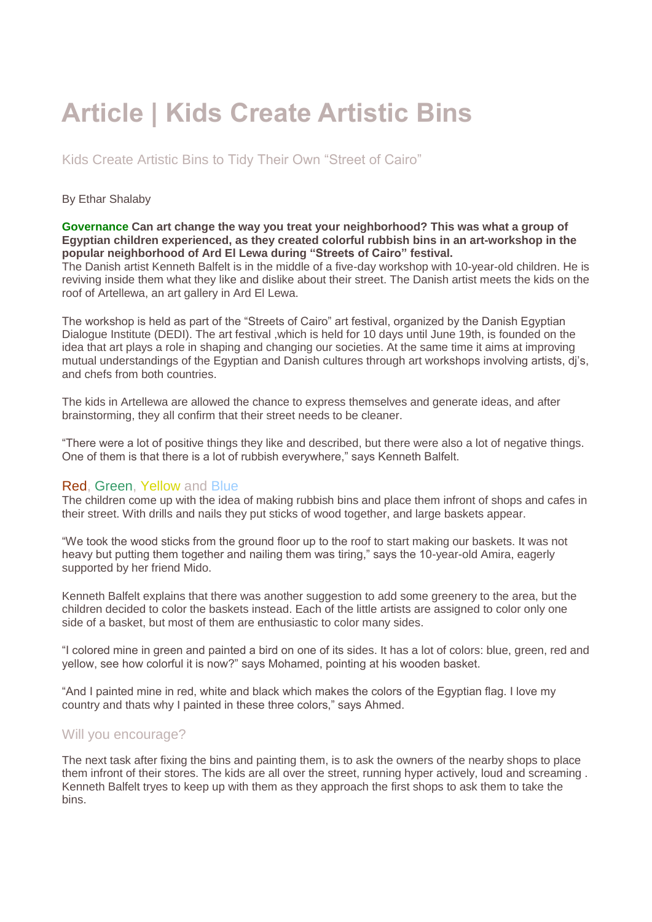# **Article | Kids Create Artistic Bins**

Kids Create Artistic Bins to Tidy Their Own "Street of Cairo"

### By Ethar Shalaby

#### **Governance Can art change the way you treat your neighborhood? This was what a group of Egyptian children experienced, as they created colorful rubbish bins in an art-workshop in the popular neighborhood of Ard El Lewa during "Streets of Cairo" festival.**

The Danish artist Kenneth Balfelt is in the middle of a five-day workshop with 10-year-old children. He is reviving inside them what they like and dislike about their street. The Danish artist meets the kids on the roof of Artellewa, an art gallery in Ard El Lewa.

The workshop is held as part of the "Streets of Cairo" art festival, organized by the Danish Egyptian Dialogue Institute (DEDI). The art festival ,which is held for 10 days until June 19th, is founded on the idea that art plays a role in shaping and changing our societies. At the same time it aims at improving mutual understandings of the Egyptian and Danish cultures through art workshops involving artists, dj's, and chefs from both countries.

The kids in Artellewa are allowed the chance to express themselves and generate ideas, and after brainstorming, they all confirm that their street needs to be cleaner.

"There were a lot of positive things they like and described, but there were also a lot of negative things. One of them is that there is a lot of rubbish everywhere," says Kenneth Balfelt.

## Red, Green, Yellow and Blue

The children come up with the idea of making rubbish bins and place them infront of shops and cafes in their street. With drills and nails they put sticks of wood together, and large baskets appear.

"We took the wood sticks from the ground floor up to the roof to start making our baskets. It was not heavy but putting them together and nailing them was tiring," says the 10-year-old Amira, eagerly supported by her friend Mido.

Kenneth Balfelt explains that there was another suggestion to add some greenery to the area, but the children decided to color the baskets instead. Each of the little artists are assigned to color only one side of a basket, but most of them are enthusiastic to color many sides.

"I colored mine in green and painted a bird on one of its sides. It has a lot of colors: blue, green, red and yellow, see how colorful it is now?" says Mohamed, pointing at his wooden basket.

"And I painted mine in red, white and black which makes the colors of the Egyptian flag. I love my country and thats why I painted in these three colors," says Ahmed.

# Will you encourage?

The next task after fixing the bins and painting them, is to ask the owners of the nearby shops to place them infront of their stores. The kids are all over the street, running hyper actively, loud and screaming . Kenneth Balfelt tryes to keep up with them as they approach the first shops to ask them to take the bins.